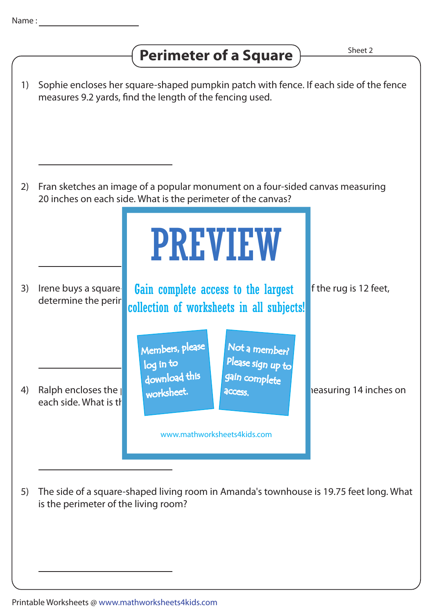## **Perimeter of a Square**  $\overline{\phantom{a}}$  **Perimeter of a Square**